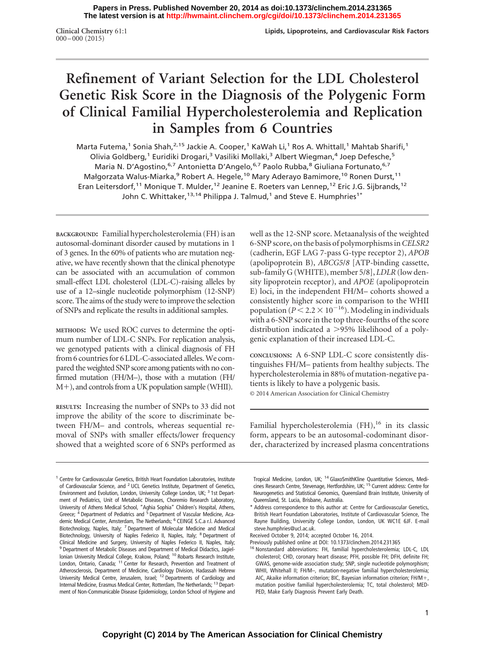**The latest version is at<http://hwmaint.clinchem.org/cgi/doi/10.1373/clinchem.2014.231365> Papers in Press. Published November 20, 2014 as doi:10.1373/clinchem.2014.231365**

**Clinical Chemistry** 61:1 000 –000 (2015)

# **Refinement of Variant Selection for the LDL Cholesterol Genetic Risk Score in the Diagnosis of the Polygenic Form of Clinical Familial Hypercholesterolemia and Replication in Samples from 6 Countries**

Marta Futema,<sup>1</sup> Sonia Shah,<sup>2,15</sup> Jackie A. Cooper,<sup>1</sup> KaWah Li,<sup>1</sup> Ros A. Whittall,<sup>1</sup> Mahtab Sharifi,<sup>1</sup> Olivia Goldberg,<sup>1</sup> Euridiki Drogari,<sup>3</sup> Vasiliki Mollaki,<sup>3</sup> Albert Wiegman,<sup>4</sup> Joep Defesche,<sup>5</sup> Maria N. D'Agostino, 6,7 Antonietta D'Angelo, <sup>6,7</sup> Paolo Rubba, <sup>8</sup> Giuliana Fortunato, <sup>6,7</sup> Małgorzata Walus-Miarka,<sup>9</sup> Robert A. Hegele,<sup>10</sup> Mary Aderayo Bamimore,<sup>10</sup> Ronen Durst,<sup>11</sup> Eran Leitersdorf,<sup>11</sup> Monique T. Mulder,<sup>12</sup> Jeanine E. Roeters van Lennep,<sup>12</sup> Eric J.G. Sijbrands,<sup>12</sup> John C. Whittaker,<sup>13,14</sup> Philippa J. Talmud,<sup>1</sup> and Steve E. Humphries<sup>1\*</sup>

**BACKGROUND:** Familial hypercholesterolemia (FH) is an autosomal-dominant disorder caused by mutations in 1 of 3 genes. In the 60% of patients who are mutation negative, we have recently shown that the clinical phenotype can be associated with an accumulation of common small-effect LDL cholesterol (LDL-C)-raising alleles by use of a 12–single nucleotide polymorphism (12-SNP) score. The aims of the study were to improve the selection of SNPs and replicate the results in additional samples.

**METHODS:** We used ROC curves to determine the optimum number of LDL-C SNPs. For replication analysis, we genotyped patients with a clinical diagnosis of FH from 6 countries for 6 LDL-C-associated alleles. We compared theweighted SNP score among patients with no confirmed mutation (FH/M–), those with a mutation (FH/ M-), and controls from a UK population sample (WHII).

**RESULTS:** Increasing the number of SNPs to 33 did not improve the ability of the score to discriminate between FH/M– and controls, whereas sequential removal of SNPs with smaller effects/lower frequency showed that a weighted score of 6 SNPs performed as

well as the 12-SNP score. Metaanalysis of the weighted 6-SNP score, on the basis of polymorphisms in*CELSR2* (cadherin, EGF LAG 7-pass G-type receptor 2), *APOB* (apolipoprotein B), *ABCG5*/*8* [ATP-binding cassette, sub-family G (WHITE), member 5/8], *LDLR* (low density lipoprotein receptor), and *APOE* (apolipoprotein E) loci, in the independent FH/M– cohorts showed a consistently higher score in comparison to the WHII population ( $P \le 2.2 \times 10^{-16}$ ). Modeling in individuals with a 6-SNP score in the top three-fourths of the score distribution indicated a 95% likelihood of a polygenic explanation of their increased LDL-C.

**CONCLUSIONS:** A 6-SNP LDL-C score consistently distinguishes FH/M– patients from healthy subjects. The hypercholesterolemia in 88% of mutation-negative patients is likely to have a polygenic basis. © 2014 American Association for Clinical Chemistry

Familial hypercholesterolemia  $(FH)$ ,<sup>16</sup> in its classic form, appears to be an autosomal-codominant disor-

der, characterized by increased plasma concentrations

Tropical Medicine, London, UK; <sup>14</sup> GlaxoSmithKline Quantitative Sciences, Medicines Research Centre, Stevenage, Hertfordshire, UK; <sup>15</sup> Current address: Centre for Neurogenetics and Statistical Genomics, Queensland Brain Institute, University of Queensland, St. Lucia, Brisbane, Australia.

<sup>&</sup>lt;sup>1</sup> Centre for Cardiovascular Genetics, British Heart Foundation Laboratories, Institute of Cardiovascular Science, and <sup>2</sup> UCL Genetics Institute, Department of Genetics, Environment and Evolution, London, University College London, UK; <sup>3</sup> 1st Department of Pediatrics, Unit of Metabolic Diseases, Choremio Research Laboratory, University of Athens Medical School, "Aghia Sophia" Children's Hospital, Athens, Greece; <sup>4</sup> Department of Pediatrics and <sup>5</sup> Department of Vascular Medicine, Academic Medical Center, Amsterdam, The Netherlands; <sup>6</sup> CEINGE S.C.a r.l. Advanced Biotechnology, Naples, Italy; <sup>7</sup> Department of Molecular Medicine and Medical Biotechnology, University of Naples Federico II, Naples, Italy; <sup>8</sup> Department of Clinical Medicine and Surgery, University of Naples Federico II, Naples, Italy; <sup>9</sup> Department of Metabolic Diseases and Department of Medical Didactics, Jagiellonian University Medical College, Krakow, Poland; <sup>10</sup> Robarts Research Institute, London, Ontario, Canada; <sup>11</sup> Center for Research, Prevention and Treatment of Atherosclerosis, Department of Medicine, Cardiology Division, Hadassah Hebrew University Medical Centre, Jerusalem, Israel; <sup>12</sup> Departments of Cardiology and Internal Medicine, Erasmus Medical Center, Rotterdam, The Netherlands; <sup>13</sup> Department of Non-Communicable Disease Epidemiology, London School of Hygiene and

<sup>\*</sup> Address correspondence to this author at: Centre for Cardiovascular Genetics, British Heart Foundation Laboratories, Institute of Cardiovascular Science, The Rayne Building, University College London, London, UK WC1E 6JF. E-mail steve.humphries@ucl.ac.uk.

Received October 9, 2014; accepted October 16, 2014.

Previously published online at DOI: 10.1373/clinchem.2014.231365

<sup>&</sup>lt;sup>16</sup> Nonstandard abbreviations: FH, familial hypercholesterolemia; LDL-C, LDL cholesterol; CHD, coronary heart disease; PFH, possible FH; DFH, definite FH; GWAS, genome-wide association study; SNP, single nucleotide polymorphism; WHII, Whitehall II; FH/M-, mutation-negative familial hypercholesterolemia; AIC, Akaike information criterion; BIC, Bayesian information criterion; FH/M-, mutation positive familial hypercholesterolemia; TC, total cholesterol; MED-PED, Make Early Diagnosis Prevent Early Death.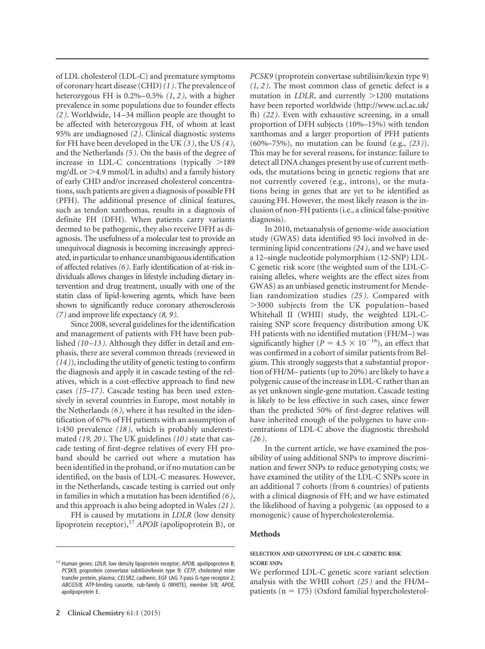of LDL cholesterol (LDL-C) and premature symptoms of coronary heart disease (CHD)*(1 )*. The prevalence of heterozygous FH is 0.2%–0.5% *(1, 2 )*, with a higher prevalence in some populations due to founder effects *(2 )*. Worldwide, 14 –34 million people are thought to be affected with heterozygous FH, of whom at least 95% are undiagnosed *(2 )*. Clinical diagnostic systems for FH have been developed in the UK *(3 )*, the US *(4 )*, and the Netherlands *(5 )*. On the basis of the degree of increase in LDL-C concentrations (typically  $>189$ mg/dL or  $>4.9$  mmol/L in adults) and a family history of early CHD and/or increased cholesterol concentrations, such patients are given a diagnosis of possible FH (PFH). The additional presence of clinical features, such as tendon xanthomas, results in a diagnosis of definite FH (DFH). When patients carry variants deemed to be pathogenic, they also receive DFH as diagnosis. The usefulness of a molecular test to provide an unequivocal diagnosis is becoming increasingly appreciated, in particular to enhance unambiguous identification of affected relatives *(6 )*. Early identification of at-risk individuals allows changes in lifestyle including dietary intervention and drug treatment, usually with one of the statin class of lipid-lowering agents, which have been shown to significantly reduce coronary atherosclerosis *(7 )* and improve life expectancy *(8, 9 )*.

Since 2008, several guidelines for the identification and management of patients with FH have been published *(10 –13 )*. Although they differ in detail and emphasis, there are several common threads (reviewed in *(14 )*), including the utility of genetic testing to confirm the diagnosis and apply it in cascade testing of the relatives, which is a cost-effective approach to find new cases *(15–17 )*. Cascade testing has been used extensively in several countries in Europe, most notably in the Netherlands *(6 )*, where it has resulted in the identification of 67% of FH patients with an assumption of 1:450 prevalence *(18 )*, which is probably underestimated *(19, 20 )*. The UK guidelines *(10 )* state that cascade testing of first-degree relatives of every FH proband should be carried out where a mutation has been identified in the proband, or if no mutation can be identified, on the basis of LDL-C measures. However, in the Netherlands, cascade testing is carried out only in families in which a mutation has been identified *(6 )*, and this approach is also being adopted in Wales *(21 )*.

FH is caused by mutations in *LDLR* (low density lipoprotein receptor),17 *APOB* (apolipoprotein B), or *PCSK9* (proprotein convertase subtilisin/kexin type 9) *(1, 2 )*. The most common class of genetic defect is a mutation in *LDLR*, and currently  $>1200$  mutations have been reported worldwide [\(http://www.ucl.ac.uk/](http://www.ucl.ac.uk/fh) [fh\)](http://www.ucl.ac.uk/fh) *(22 )*. Even with exhaustive screening, in a small proportion of DFH subjects (10%–15%) with tendon xanthomas and a larger proportion of PFH patients (60%–75%), no mutation can be found (e.g., *(23 )*). This may be for several reasons, for instance: failure to detect all DNA changes present by use of current methods, the mutations being in genetic regions that are not currently covered (e.g., introns), or the mutations being in genes that are yet to be identified as causing FH. However, the most likely reason is the inclusion of non-FH patients (i.e., a clinical false-positive diagnosis).

In 2010, metaanalysis of genome-wide association study (GWAS) data identified 95 loci involved in determining lipid concentrations *(24 )*, and we have used a 12–single nucleotide polymorphism (12-SNP) LDL-C genetic risk score (the weighted sum of the LDL-Craising alleles, where weights are the effect sizes from GWAS) as an unbiased genetic instrument for Mendelian randomization studies *(25 )*. Compared with 3000 subjects from the UK population– based Whitehall II (WHII) study, the weighted LDL-Craising SNP score frequency distribution among UK FH patients with no identified mutation (FH/M–) was significantly higher ( $P = 4.5 \times 10^{-16}$ ), an effect that was confirmed in a cohort of similar patients from Belgium. This strongly suggests that a substantial proportion of FH/M– patients (up to 20%) are likely to have a polygenic cause of the increase in LDL-C rather than an as yet unknown single-gene mutation. Cascade testing is likely to be less effective in such cases, since fewer than the predicted 50% of first-degree relatives will have inherited enough of the polygenes to have concentrations of LDL-C above the diagnostic threshold *(26 )*.

In the current article, we have examined the possibility of using additional SNPs to improve discrimination and fewer SNPs to reduce genotyping costs; we have examined the utility of the LDL-C SNPs score in an additional 7 cohorts (from 6 countries) of patients with a clinical diagnosis of FH; and we have estimated the likelihood of having a polygenic (as opposed to a monogenic) cause of hypercholesterolemia.

## **Methods**

## **SELECTION AND GENOTYPING OF LDL-C GENETIC RISK SCORE SNPs**

We performed LDL-C genetic score variant selection analysis with the WHII cohort *(25 )* and the FH/M– patients ( $n = 175$ ) (Oxford familial hypercholesterol-

<sup>&</sup>lt;sup>17</sup> Human genes: LDLR, low density lipoprotein receptor; APOB, apolipoprotein B; PCSK9, proprotein convertase subtilisin/kexin type 9; CETP, cholesteryl ester transfer protein, plasma; CELSR2, cadherin, EGF LAG 7-pass G-type receptor 2; ABCG5/8, ATP-binding cassette, sub-family G (WHITE), member 5/8; APOE, apolipoprotein E.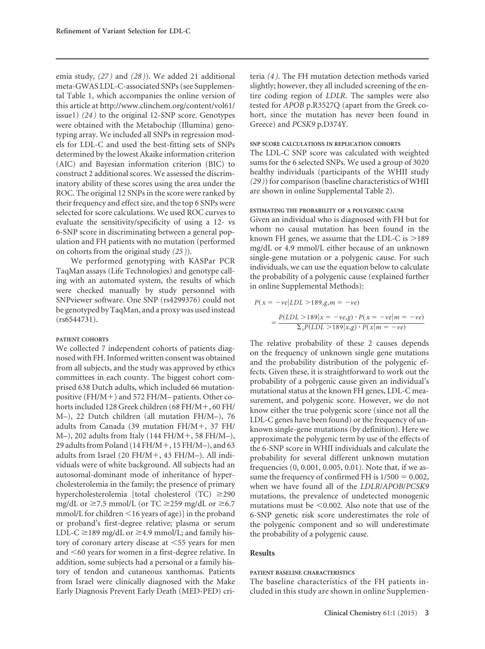emia study, *(27 )* and *(28 )*). We added 21 additional meta-GWAS LDL-C-associated SNPs (see Supplemental Table 1, which accompanies the online version of this article at [http://www.clinchem.org/content/vol61/](http://www.clinchem.org/content/vol61/issue1) [issue1\)](http://www.clinchem.org/content/vol61/issue1) *(24 )* to the original 12-SNP score. Genotypes were obtained with the Metabochip (Illumina) genotyping array. We included all SNPs in regression models for LDL-C and used the best-fitting sets of SNPs determined by the lowest Akaike information criterion (AIC) and Bayesian information criterion (BIC) to construct 2 additional scores. We assessed the discriminatory ability of these scores using the area under the ROC. The original 12 SNPs in the score were ranked by their frequency and effect size, and the top 6 SNPs were selected for score calculations. We used ROC curves to evaluate the sensitivity/specificity of using a 12- vs 6-SNP score in discriminating between a general population and FH patients with no mutation (performed on cohorts from the original study *(25 )*).

We performed genotyping with KASPar PCR TaqMan assays (Life Technologies) and genotype calling with an automated system, the results of which were checked manually by study personnel with SNPviewer software. One SNP (rs4299376) could not be genotyped by TaqMan, and a proxy was used instead (rs6544731).

#### **PATIENT COHORTS**

We collected 7 independent cohorts of patients diagnosed with FH. Informed written consent was obtained from all subjects, and the study was approved by ethics committees in each county. The biggest cohort comprised 638 Dutch adults, which included 66 mutationpositive (FH/M-) and 572 FH/M– patients. Other cohorts included 128 Greek children (68 FH/M-, 60 FH/ M–), 22 Dutch children (all mutation FH/M–), 76 adults from Canada (39 mutation FH/M-, 37 FH/ M–), 202 adults from Italy (144 FH/M-, 58 FH/M–), 29 adults from Poland (14 FH/M-, 15 FH/M–), and 63 adults from Israel (20 FH/M-, 43 FH/M–). All individuals were of white background. All subjects had an autosomal-dominant mode of inheritance of hypercholesterolemia in the family; the presence of primary hypercholesterolemia [total cholesterol (TC) ≥290 mg/dL or  $\geq$ 7.5 mmol/L (or TC  $\geq$ 259 mg/dL or  $\geq$ 6.7 mmol/L for children  $\leq$ 16 years of age)] in the proband or proband's first-degree relative; plasma or serum LDL-C  $\geq$  189 mg/dL or  $\geq$  4.9 mmol/L; and family history of coronary artery disease at  $\leq$  55 years for men and  $<$  60 years for women in a first-degree relative. In addition, some subjects had a personal or a family history of tendon and cutaneous xanthomas. Patients from Israel were clinically diagnosed with the Make Early Diagnosis Prevent Early Death (MED-PED) criteria *(4 )*. The FH mutation detection methods varied slightly; however, they all included screening of the entire coding region of *LDLR*. The samples were also tested for *APOB* p.R3527Q (apart from the Greek cohort, since the mutation has never been found in Greece) and *PCSK9* p.D374Y.

#### **SNP SCORE CALCULATIONS IN REPLICATION COHORTS**

The LDL-C SNP score was calculated with weighted sums for the 6 selected SNPs. We used a group of 3020 healthy individuals (participants of the WHII study *(29 )*) for comparison (baseline characteristics of WHII are shown in online Supplemental Table 2).

## **ESTIMATING THE PROBABILITY OF A POLYGENIC CAUSE**

Given an individual who is diagnosed with FH but for whom no causal mutation has been found in the known FH genes, we assume that the LDL-C is  $>$ 189 mg/dL or 4.9 mmol/L either because of an unknown single-gene mutation or a polygenic cause. For such individuals, we can use the equation below to calculate the probability of a polygenic cause (explained further in online Supplemental Methods):

$$
P(x = -ve|LDL > 189, g, m = -ve)
$$
  
= 
$$
\frac{P(LDL > 189|x = -ve, g) \cdot P(x = -ve|m = -ve)}{\sum_{x} P(LDL > 189|x, g) \cdot P(x|m = -ve)}
$$

The relative probability of these 2 causes depends on the frequency of unknown single gene mutations and the probability distribution of the polygenic effects. Given these, it is straightforward to work out the probability of a polygenic cause given an individual's mutational status at the known FH genes, LDL-C measurement, and polygenic score. However, we do not know either the true polygenic score (since not all the LDL-C genes have been found) or the frequency of unknown single-gene mutations (by definition). Here we approximate the polygenic term by use of the effects of the 6-SNP score in WHII individuals and calculate the probability for several different unknown mutation frequencies (0, 0.001, 0.005, 0.01). Note that, if we assume the frequency of confirmed FH is  $1/500 = 0.002$ , when we have found all of the *LDLR*/*APOB*/*PCSK9* mutations, the prevalence of undetected monogenic mutations must be  $\leq 0.002$ . Also note that use of the 6-SNP genetic risk score underestimates the role of the polygenic component and so will underestimate the probability of a polygenic cause.

## **Results**

#### **PATIENT BASELINE CHARACTERISTICS**

The baseline characteristics of the FH patients included in this study are shown in online Supplemen-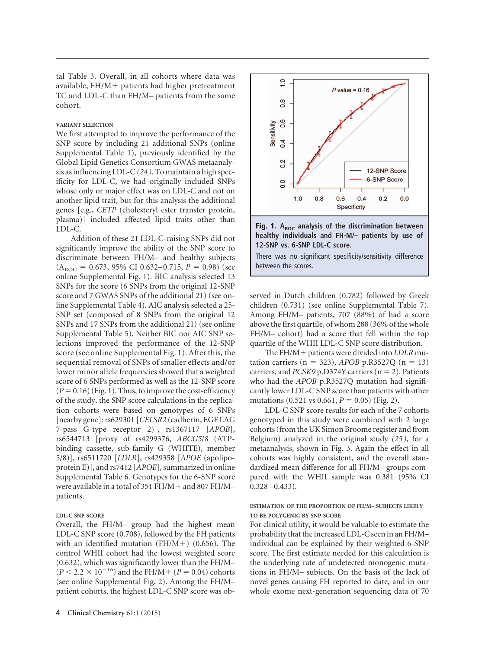tal Table 3. Overall, in all cohorts where data was available, FH/M- patients had higher pretreatment TC and LDL-C than FH/M– patients from the same cohort.

#### **VARIANT SELECTION**

We first attempted to improve the performance of the SNP score by including 21 additional SNPs (online Supplemental Table 1), previously identified by the Global Lipid Genetics Consortium GWAS metaanalysis as influencing LDL-C*(24 )*. To maintain a high specificity for LDL-C, we had originally included SNPs whose only or major effect was on LDL-C and not on another lipid trait, but for this analysis the additional genes [e.g., *CETP* (cholesteryl ester transfer protein, plasma)] included affected lipid traits other than LDL-C.

Addition of these 21 LDL-C-raising SNPs did not significantly improve the ability of the SNP score to discriminate between FH/M– and healthy subjects  $(A_{\text{ROC}} = 0.673, 95\% \text{ CI } 0.632 - 0.715, P = 0.98)$  (see online Supplemental Fig. 1). BIC analysis selected 13 SNPs for the score (6 SNPs from the original 12-SNP score and 7 GWAS SNPs of the additional 21) (see online Supplemental Table 4). AIC analysis selected a 25- SNP set (composed of 8 SNPs from the original 12 SNPs and 17 SNPs from the additional 21) (see online Supplemental Table 5). Neither BIC nor AIC SNP selections improved the performance of the 12-SNP score (see online Supplemental Fig. 1). After this, the sequential removal of SNPs of smaller effects and/or lower minor allele frequencies showed that a weighted score of 6 SNPs performed as well as the 12-SNP score  $(P = 0.16)$  (Fig. 1). Thus, to improve the cost-efficiency of the study, the SNP score calculations in the replication cohorts were based on genotypes of 6 SNPs [nearby gene]: rs629301 [*CELSR2* (cadherin, EGF LAG 7-pass G-type receptor 2)], rs1367117 [*APOB*], rs6544713 [proxy of rs4299376, *ABCG5*/*8* (ATPbinding cassette, sub-family G (WHITE), member 5/8)], rs6511720 [*LDLR*], rs429358 [*APOE* (apolipoprotein E)], and rs7412 [*APOE*], summarized in online Supplemental Table 6. Genotypes for the 6-SNP score were available in a total of 351 FH/M- and 807 FH/M– patients.

#### **LDL-C SNP SCORE**

Overall, the FH/M– group had the highest mean LDL-C SNP score (0.708), followed by the FH patients with an identified mutation (FH/M-) (0.656). The control WHII cohort had the lowest weighted score (0.632), which was significantly lower than the FH/M–  $(P < 2.2 \times 10^{-16})$  and the FH/M + ( $P = 0.04$ ) cohorts (see online Supplemental Fig. 2). Among the FH/M– patient cohorts, the highest LDL-C SNP score was ob-





There was no significant specificity/sensitivity difference between the scores.

served in Dutch children (0.782) followed by Greek children (0.731) (see online Supplemental Table 7). Among FH/M– patients, 707 (88%) of had a score above the first quartile, of whom 288 (36% of the whole FH/M– cohort) had a score that fell within the top quartile of the WHII LDL-C SNP score distribution.

The FH/M- patients were divided into *LDLR* mutation carriers ( $n = 323$ ), *APOB* p.R3527Q ( $n = 13$ ) carriers, and *PCSK9* p.D374Y carriers  $(n = 2)$ . Patients who had the *APOB* p.R3527Q mutation had significantly lower LDL-C SNP score than patients with other mutations  $(0.521 \text{ vs } 0.661, P = 0.05)$  (Fig. 2).

LDL-C SNP score results for each of the 7 cohorts genotyped in this study were combined with 2 large cohorts (from the UK Simon Broome register and from Belgium) analyzed in the original study *(25 )*, for a metaanalysis, shown in Fig. 3. Again the effect in all cohorts was highly consistent, and the overall standardized mean difference for all FH/M– groups compared with the WHII sample was 0.381 (95% CI  $0.328 - 0.433$ .

#### **ESTIMATION OF THE PROPORTION OF FH/M– SUBJECTS LIKELY TO BE POLYGENIC BY SNP SCORE**

For clinical utility, it would be valuable to estimate the probability that the increased LDL-C seen in an FH/M– individual can be explained by their weighted 6-SNP score. The first estimate needed for this calculation is the underlying rate of undetected monogenic mutations in FH/M– subjects. On the basis of the lack of novel genes causing FH reported to date, and in our whole exome next-generation sequencing data of 70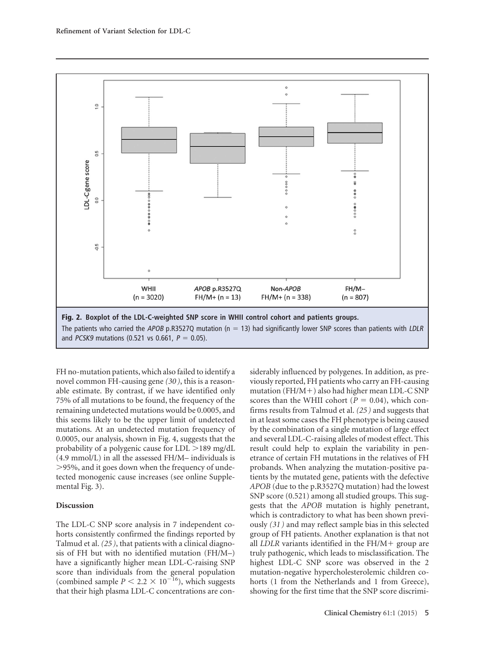

FH no-mutation patients, which also failed to identify a novel common FH-causing gene *(30 )*, this is a reasonable estimate. By contrast, if we have identified only 75% of all mutations to be found, the frequency of the remaining undetected mutations would be 0.0005, and this seems likely to be the upper limit of undetected mutations. At an undetected mutation frequency of 0.0005, our analysis, shown in Fig. 4, suggests that the probability of a polygenic cause for  $LDL > 189$  mg/dL (4.9 mmol/L) in all the assessed FH/M– individuals is 95%, and it goes down when the frequency of undetected monogenic cause increases (see online Supplemental Fig. 3).

### **Discussion**

The LDL-C SNP score analysis in 7 independent cohorts consistently confirmed the findings reported by Talmud et al. *(25 )*, that patients with a clinical diagnosis of FH but with no identified mutation (FH/M–) have a significantly higher mean LDL-C-raising SNP score than individuals from the general population (combined sample  $P \le 2.2 \times 10^{-16}$ ), which suggests that their high plasma LDL-C concentrations are con-

siderably influenced by polygenes. In addition, as previously reported, FH patients who carry an FH-causing mutation (FH/M-) also had higher mean LDL-C SNP scores than the WHII cohort  $(P = 0.04)$ , which confirms results from Talmud et al. *(25 )* and suggests that in at least some cases the FH phenotype is being caused by the combination of a single mutation of large effect and several LDL-C-raising alleles of modest effect. This result could help to explain the variability in penetrance of certain FH mutations in the relatives of FH probands. When analyzing the mutation-positive patients by the mutated gene, patients with the defective *APOB* (due to the p.R3527Q mutation) had the lowest SNP score (0.521) among all studied groups. This suggests that the *APOB* mutation is highly penetrant, which is contradictory to what has been shown previously *(31 )* and may reflect sample bias in this selected group of FH patients. Another explanation is that not all *LDLR* variants identified in the FH/M+ group are truly pathogenic, which leads to misclassification. The highest LDL-C SNP score was observed in the 2 mutation-negative hypercholesterolemic children cohorts (1 from the Netherlands and 1 from Greece), showing for the first time that the SNP score discrimi-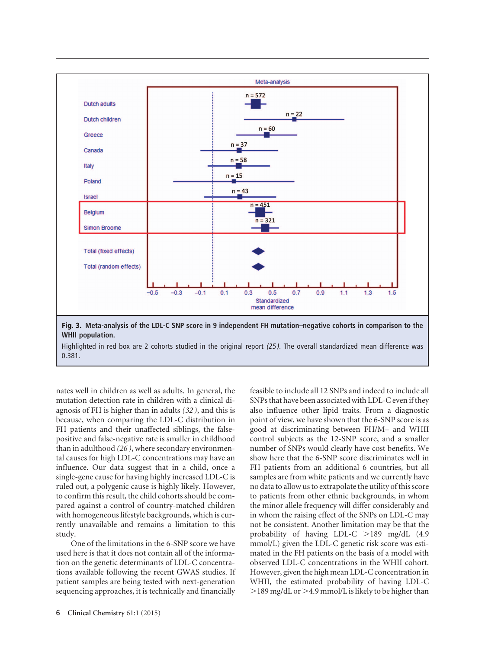

Highlighted in red box are 2 cohorts studied in the original report (25). The overall standardized mean difference was 0.381.

nates well in children as well as adults. In general, the mutation detection rate in children with a clinical diagnosis of FH is higher than in adults *(32 )*, and this is because, when comparing the LDL-C distribution in FH patients and their unaffected siblings, the falsepositive and false-negative rate is smaller in childhood than in adulthood *(26 )*, where secondary environmental causes for high LDL-C concentrations may have an influence. Our data suggest that in a child, once a single-gene cause for having highly increased LDL-C is ruled out, a polygenic cause is highly likely. However, to confirm this result, the child cohorts should be compared against a control of country-matched children with homogeneous lifestyle backgrounds, which is currently unavailable and remains a limitation to this study.

One of the limitations in the 6-SNP score we have used here is that it does not contain all of the information on the genetic determinants of LDL-C concentrations available following the recent GWAS studies. If patient samples are being tested with next-generation sequencing approaches, it is technically and financially feasible to include all 12 SNPs and indeed to include all SNPs that have been associated with LDL-C even if they also influence other lipid traits. From a diagnostic point of view, we have shown that the 6-SNP score is as good at discriminating between FH/M– and WHII control subjects as the 12-SNP score, and a smaller number of SNPs would clearly have cost benefits. We show here that the 6-SNP score discriminates well in FH patients from an additional 6 countries, but all samples are from white patients and we currently have no data to allow us to extrapolate the utility of this score to patients from other ethnic backgrounds, in whom the minor allele frequency will differ considerably and in whom the raising effect of the SNPs on LDL-C may not be consistent. Another limitation may be that the probability of having LDL-C  $>189$  mg/dL (4.9) mmol/L) given the LDL-C genetic risk score was estimated in the FH patients on the basis of a model with observed LDL-C concentrations in the WHII cohort. However, given the high mean LDL-C concentration in WHII, the estimated probability of having LDL-C  $>$ 189 mg/dL or  $>$ 4.9 mmol/L is likely to be higher than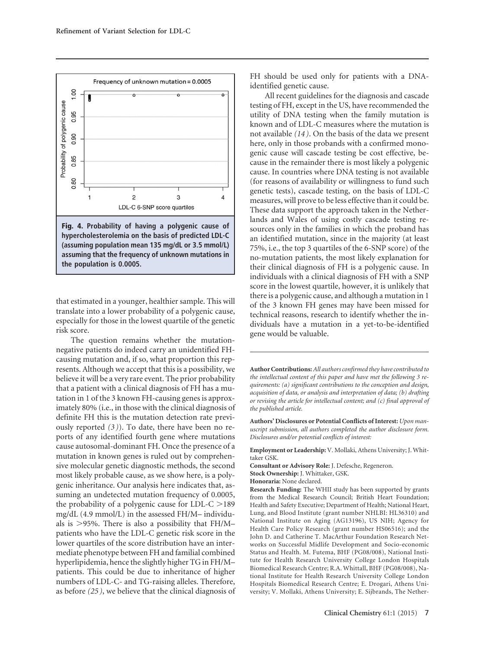

that estimated in a younger, healthier sample. This will translate into a lower probability of a polygenic cause, especially for those in the lowest quartile of the genetic risk score.

The question remains whether the mutationnegative patients do indeed carry an unidentified FHcausing mutation and, if so, what proportion this represents. Although we accept that this is a possibility, we believe it will be a very rare event. The prior probability that a patient with a clinical diagnosis of FH has a mutation in 1 of the 3 known FH-causing genes is approximately 80% (i.e., in those with the clinical diagnosis of definite FH this is the mutation detection rate previously reported *(3 )*). To date, there have been no reports of any identified fourth gene where mutations cause autosomal-dominant FH. Once the presence of a mutation in known genes is ruled out by comprehensive molecular genetic diagnostic methods, the second most likely probable cause, as we show here, is a polygenic inheritance. Our analysis here indicates that, assuming an undetected mutation frequency of 0.0005, the probability of a polygenic cause for LDL-C  $>$ 189 mg/dL (4.9 mmol/L) in the assessed FH/M– individuals is  $>$ 95%. There is also a possibility that FH/Mpatients who have the LDL-C genetic risk score in the lower quartiles of the score distribution have an intermediate phenotype between FH and familial combined hyperlipidemia, hence the slightly higher TG in FH/M– patients. This could be due to inheritance of higher numbers of LDL-C- and TG-raising alleles. Therefore, as before *(25 )*, we believe that the clinical diagnosis of FH should be used only for patients with a DNAidentified genetic cause.

All recent guidelines for the diagnosis and cascade testing of FH, except in the US, have recommended the utility of DNA testing when the family mutation is known and of LDL-C measures where the mutation is not available *(14 )*. On the basis of the data we present here, only in those probands with a confirmed monogenic cause will cascade testing be cost effective, because in the remainder there is most likely a polygenic cause. In countries where DNA testing is not available (for reasons of availability or willingness to fund such genetic tests), cascade testing, on the basis of LDL-C measures, will prove to be less effective than it could be. These data support the approach taken in the Netherlands and Wales of using costly cascade testing resources only in the families in which the proband has an identified mutation, since in the majority (at least 75%, i.e., the top 3 quartiles of the 6-SNP score) of the no-mutation patients, the most likely explanation for their clinical diagnosis of FH is a polygenic cause. In individuals with a clinical diagnosis of FH with a SNP score in the lowest quartile, however, it is unlikely that there is a polygenic cause, and although a mutation in 1 of the 3 known FH genes may have been missed for technical reasons, research to identify whether the individuals have a mutation in a yet-to-be-identified gene would be valuable.

**Authors' Disclosures or Potential Conflicts of Interest:** *Upon manuscript submission, all authors completed the author disclosure form. Disclosures and/or potential conflicts of interest:*

**Employment or Leadership:** V. Mollaki, Athens University; J. Whittaker GSK.

**Consultant or Advisory Role:** J. Defesche, Regeneron.

**Stock Ownership:** J. Whittaker, GSK.

**Honoraria:** None declared.

**Research Funding:** The WHII study has been supported by grants from the Medical Research Council; British Heart Foundation; Health and Safety Executive; Department of Health; National Heart, Lung, and Blood Institute (grant number NHLBI: HL36310) and National Institute on Aging (AG13196), US NIH; Agency for Health Care Policy Research (grant number HS06516); and the John D. and Catherine T. MacArthur Foundation Research Networks on Successful Midlife Development and Socio-economic Status and Health. M. Futema, BHF (PG08/008), National Institute for Health Research University College London Hospitals Biomedical Research Centre; R.A. Whittall, BHF (PG08/008), National Institute for Health Research University College London Hospitals Biomedical Research Centre; E. Drogari, Athens University; V. Mollaki, Athens University; E. Sijbrands, The Nether-

**Author Contributions:***All authors confirmed they have contributed to the intellectual content of this paper and have met the following 3 requirements: (a) significant contributions to the conception and design, acquisition of data, or analysis and interpretation of data; (b) drafting or revising the article for intellectual content; and (c) final approval of the published article.*